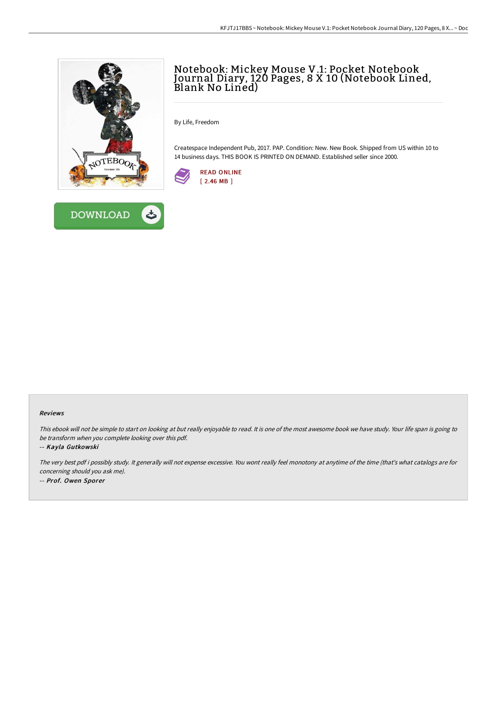



## Notebook: Mickey Mouse V.1: Pocket Notebook Journal Diary, 120 Pages, 8 X 10 (Notebook Lined, Blank No Lined)

By Life, Freedom

Createspace Independent Pub, 2017. PAP. Condition: New. New Book. Shipped from US within 10 to 14 business days. THIS BOOK IS PRINTED ON DEMAND. Established seller since 2000.



## Reviews

This ebook will not be simple to start on looking at but really enjoyable to read. It is one of the most awesome book we have study. Your life span is going to be transform when you complete looking over this pdf.

## -- Kayla Gutkowski

The very best pdf i possibly study. It generally will not expense excessive. You wont really feel monotony at anytime of the time (that's what catalogs are for concerning should you ask me). -- Prof. Owen Sporer